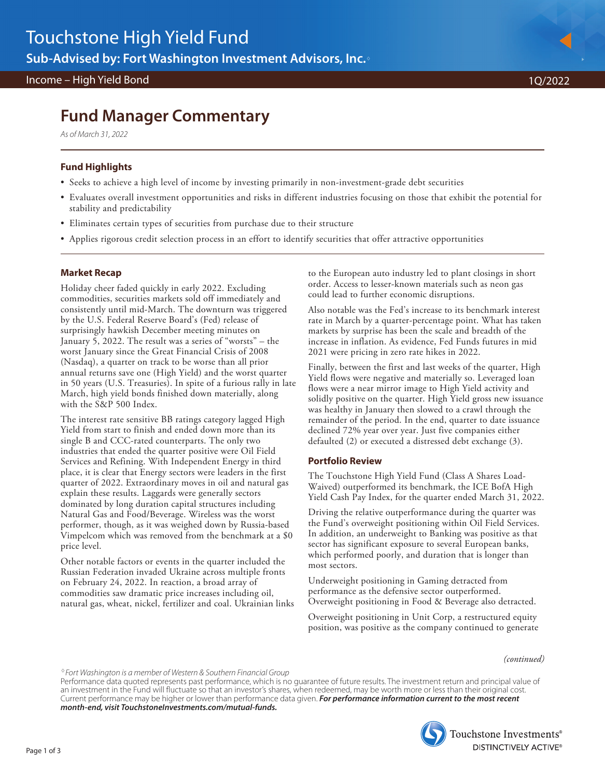#### Income – High Yield Bond 1Q/2022

# **Fund Manager Commentary**

As of March 31, 2022

## **Fund Highlights**

- Seeks to achieve a high level of income by investing primarily in non-investment-grade debt securities
- Evaluates overall investment opportunities and risks in different industries focusing on those that exhibit the potential for stability and predictability
- Eliminates certain types of securities from purchase due to their structure
- Applies rigorous credit selection process in an effort to identify securities that offer attractive opportunities

## **Market Recap**

Holiday cheer faded quickly in early 2022. Excluding commodities, securities markets sold off immediately and consistently until mid-March. The downturn was triggered by the U.S. Federal Reserve Board's (Fed) release of surprisingly hawkish December meeting minutes on January 5, 2022. The result was a series of "worsts" – the worst January since the Great Financial Crisis of 2008 (Nasdaq), a quarter on track to be worse than all prior annual returns save one (High Yield) and the worst quarter in 50 years (U.S. Treasuries). In spite of a furious rally in late March, high yield bonds finished down materially, along with the S&P 500 Index.

The interest rate sensitive BB ratings category lagged High Yield from start to finish and ended down more than its single B and CCC-rated counterparts. The only two industries that ended the quarter positive were Oil Field Services and Refining. With Independent Energy in third place, it is clear that Energy sectors were leaders in the first quarter of 2022. Extraordinary moves in oil and natural gas explain these results. Laggards were generally sectors dominated by long duration capital structures including Natural Gas and Food/Beverage. Wireless was the worst performer, though, as it was weighed down by Russia-based Vimpelcom which was removed from the benchmark at a \$0 price level.

Other notable factors or events in the quarter included the Russian Federation invaded Ukraine across multiple fronts on February 24, 2022. In reaction, a broad array of commodities saw dramatic price increases including oil, natural gas, wheat, nickel, fertilizer and coal. Ukrainian links

to the European auto industry led to plant closings in short order. Access to lesser-known materials such as neon gas could lead to further economic disruptions.

Also notable was the Fed's increase to its benchmark interest rate in March by a quarter-percentage point. What has taken markets by surprise has been the scale and breadth of the increase in inflation. As evidence, Fed Funds futures in mid 2021 were pricing in zero rate hikes in 2022.

Finally, between the first and last weeks of the quarter, High Yield flows were negative and materially so. Leveraged loan flows were a near mirror image to High Yield activity and solidly positive on the quarter. High Yield gross new issuance was healthy in January then slowed to a crawl through the remainder of the period. In the end, quarter to date issuance declined 72% year over year. Just five companies either defaulted (2) or executed a distressed debt exchange (3).

## **Portfolio Review**

The Touchstone High Yield Fund (Class A Shares Load-Waived) outperformed its benchmark, the ICE BofA High Yield Cash Pay Index, for the quarter ended March 31, 2022.

Driving the relative outperformance during the quarter was the Fund's overweight positioning within Oil Field Services. In addition, an underweight to Banking was positive as that sector has significant exposure to several European banks, which performed poorly, and duration that is longer than most sectors.

Underweight positioning in Gaming detracted from performance as the defensive sector outperformed. Overweight positioning in Food & Beverage also detracted.

Overweight positioning in Unit Corp, a restructured equity position, was positive as the company continued to generate

*(continued)*

-Fort Washington is a member of Western & Southern Financial Group

Performance data quoted represents past performance, which is no guarantee of future results. The investment return and principal value of an investment in the Fund will fluctuate so that an investor's shares, when redeemed, may be worth more or less than their original cost. Current performance may be higher or lower than performance data given. **For performance information current to the most recent month-end, visit TouchstoneInvestments.com/mutual-funds.**



Touchstone Investments® **DISTINCTIVELY ACTIVE®** 

Page 1 of 3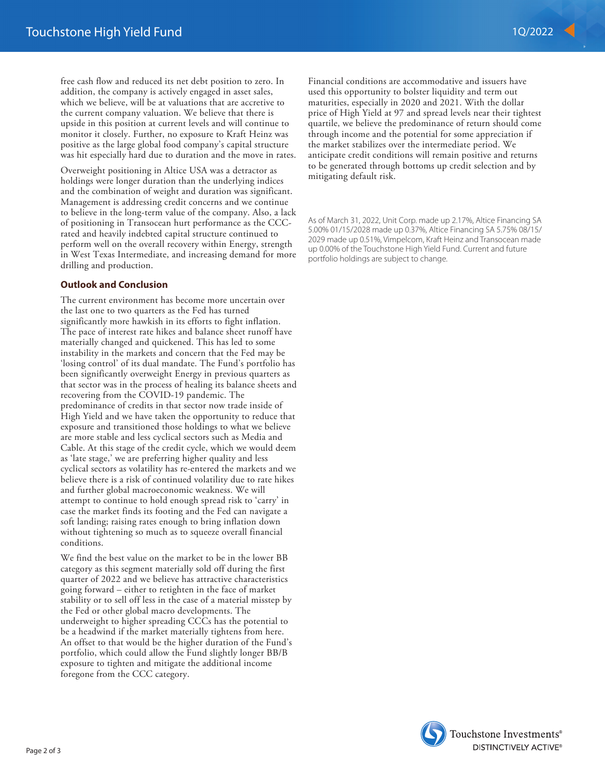free cash flow and reduced its net debt position to zero. In addition, the company is actively engaged in asset sales, which we believe, will be at valuations that are accretive to the current company valuation. We believe that there is upside in this position at current levels and will continue to monitor it closely. Further, no exposure to Kraft Heinz was positive as the large global food company's capital structure was hit especially hard due to duration and the move in rates.

Overweight positioning in Altice USA was a detractor as holdings were longer duration than the underlying indices and the combination of weight and duration was significant. Management is addressing credit concerns and we continue to believe in the long-term value of the company. Also, a lack of positioning in Transocean hurt performance as the CCCrated and heavily indebted capital structure continued to perform well on the overall recovery within Energy, strength in West Texas Intermediate, and increasing demand for more drilling and production.

#### **Outlook and Conclusion**

The current environment has become more uncertain over the last one to two quarters as the Fed has turned significantly more hawkish in its efforts to fight inflation. The pace of interest rate hikes and balance sheet runoff have materially changed and quickened. This has led to some instability in the markets and concern that the Fed may be 'losing control' of its dual mandate. The Fund's portfolio has been significantly overweight Energy in previous quarters as that sector was in the process of healing its balance sheets and recovering from the COVID-19 pandemic. The predominance of credits in that sector now trade inside of High Yield and we have taken the opportunity to reduce that exposure and transitioned those holdings to what we believe are more stable and less cyclical sectors such as Media and Cable. At this stage of the credit cycle, which we would deem as 'late stage,' we are preferring higher quality and less cyclical sectors as volatility has re-entered the markets and we believe there is a risk of continued volatility due to rate hikes and further global macroeconomic weakness. We will attempt to continue to hold enough spread risk to 'carry' in case the market finds its footing and the Fed can navigate a soft landing; raising rates enough to bring inflation down without tightening so much as to squeeze overall financial conditions.

We find the best value on the market to be in the lower BB category as this segment materially sold off during the first quarter of 2022 and we believe has attractive characteristics going forward – either to retighten in the face of market stability or to sell off less in the case of a material misstep by the Fed or other global macro developments. The underweight to higher spreading CCCs has the potential to be a headwind if the market materially tightens from here. An offset to that would be the higher duration of the Fund's portfolio, which could allow the Fund slightly longer BB/B exposure to tighten and mitigate the additional income foregone from the CCC category.

Financial conditions are accommodative and issuers have used this opportunity to bolster liquidity and term out maturities, especially in 2020 and 2021. With the dollar price of High Yield at 97 and spread levels near their tightest quartile, we believe the predominance of return should come through income and the potential for some appreciation if the market stabilizes over the intermediate period. We anticipate credit conditions will remain positive and returns to be generated through bottoms up credit selection and by mitigating default risk.

As of March 31, 2022, Unit Corp. made up 2.17%, Altice Financing SA 5.00% 01/15/2028 made up 0.37%, Altice Financing SA 5.75% 08/15/ 2029 made up 0.51%, Vimpelcom, Kraft Heinz and Transocean made up 0.00% of the Touchstone High Yield Fund. Current and future portfolio holdings are subject to change.

Touchstone Investments® **DISTINCTIVELY ACTIVE®**